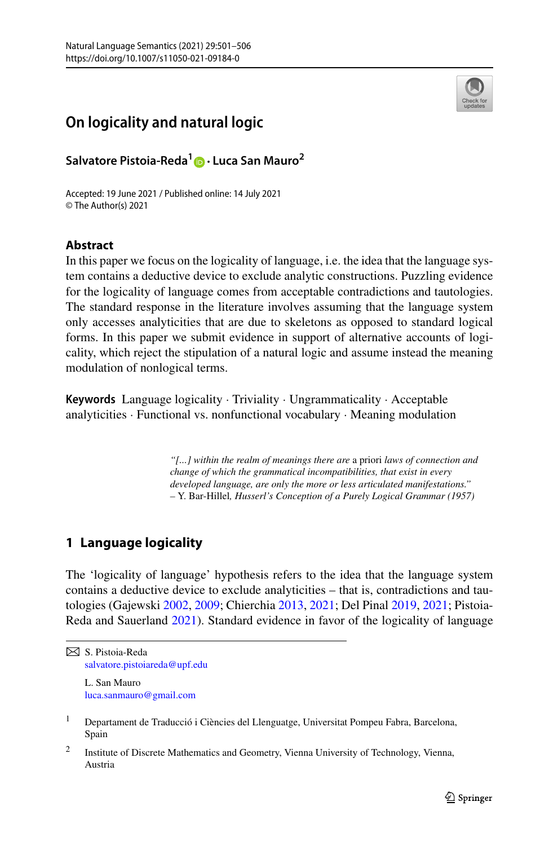

# **On logicality and natural logic**

**Salvatore Pistoia-Reda1 · Luca San Mauro2**

Accepted: 19 June 2021 / Published online: 14 July 2021 © The Author(s) 2021

### **Abstract**

In this paper we focus on the logicality of language, i.e. the idea that the language system contains a deductive device to exclude analytic constructions. Puzzling evidence for the logicality of language comes from acceptable contradictions and tautologies. The standard response in the literature involves assuming that the language system only accesses analyticities that are due to skeletons as opposed to standard logical forms. In this paper we submit evidence in support of alternative accounts of logicality, which reject the stipulation of a natural logic and assume instead the meaning modulation of nonlogical terms.

**Keywords** Language logicality · Triviality · Ungrammaticality · Acceptable analyticities · Functional vs. nonfunctional vocabulary · Meaning modulation

> *"[...] within the realm of meanings there are* a priori *laws of connection and change of which the grammatical incompatibilities, that exist in every developed language, are only the more or less articulated manifestations." –* Y. Bar-Hillel*, Husserl's Conception of a Purely Logical Grammar (1957)*

## **1 Language logicality**

The 'logicality of language' hypothesis refers to the idea that the language system contains a deductive device to exclude analyticities – that is, contradictions and tautologies (Gajewski [2002,](#page-5-0) [2009](#page-5-0); Chierchia [2013](#page-5-0), [2021;](#page-5-0) Del Pinal [2019](#page-5-0), [2021](#page-5-0); Pistoia-Reda and Sauerland [2021](#page-5-0)). Standard evidence in favor of the logicality of language

[luca.sanmauro@gmail.com](mailto:luca.sanmauro@gmail.com)

S. Pistoia-Reda [salvatore.pistoiareda@upf.edu](mailto:salvatore.pistoiareda@upf.edu) L. San Mauro

<sup>&</sup>lt;sup>1</sup> Departament de Traducció i Ciències del Llenguatge, Universitat Pompeu Fabra, Barcelona, Spain

<sup>2</sup> Institute of Discrete Mathematics and Geometry, Vienna University of Technology, Vienna, Austria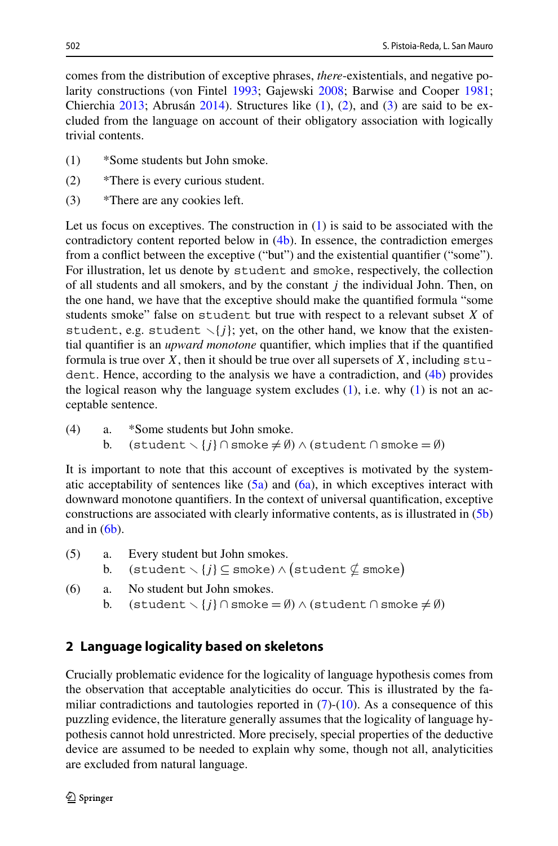<span id="page-1-0"></span>comes from the distribution of exceptive phrases, *there*-existentials, and negative polarity constructions (von Fintel [1993](#page-5-0); Gajewski [2008;](#page-5-0) Barwise and Cooper [1981;](#page-5-0) Chierchia [2013;](#page-5-0) Abrusán [2014](#page-5-0)). Structures like (1), (2), and (3) are said to be excluded from the language on account of their obligatory association with logically trivial contents.

- (1) \*Some students but John smoke.
- (2) \*There is every curious student.
- (3) \*There are any cookies left.

Let us focus on exceptives. The construction in (1) is said to be associated with the contradictory content reported below in (4b). In essence, the contradiction emerges from a conflict between the exceptive ("but") and the existential quantifier ("some"). For illustration, let us denote by student and smoke, respectively, the collection of all students and all smokers, and by the constant *j* the individual John. Then, on the one hand, we have that the exceptive should make the quantified formula "some students smoke" false on student but true with respect to a relevant subset *X* of student, e.g. student  $\setminus \{j\}$ ; yet, on the other hand, we know that the existential quantifier is an *upward monotone* quantifier, which implies that if the quantified formula is true over  $X$ , then it should be true over all supersets of  $X$ , including  $stu$ dent. Hence, according to the analysis we have a contradiction, and (4b) provides the logical reason why the language system excludes  $(1)$ , i.e. why  $(1)$  is not an acceptable sentence.

(4) a. \*Some students but John smoke. b. (student  $\setminus \{j\} \cap$  smoke  $\neq \emptyset$ )  $\land$  (student  $\cap$  smoke  $=\emptyset$ )

It is important to note that this account of exceptives is motivated by the systematic acceptability of sentences like  $(5a)$  and  $(6a)$ , in which exceptives interact with downward monotone quantifiers. In the context of universal quantification, exceptive constructions are associated with clearly informative contents, as is illustrated in (5b) and in  $(6b)$ .

- (5) a. Every student but John smokes. b.  $(\text{student} \setminus \{j\} \subseteq \text{smoke}) \land (\text{student} \nsubseteq \text{smoke})$ (6) a. No student but John smokes.
	- b. (student  $\setminus \{j\} \cap$  smoke =  $\emptyset$ )  $\land$  (student  $\cap$  smoke  $\neq \emptyset$ )

# **2 Language logicality based on skeletons**

Crucially problematic evidence for the logicality of language hypothesis comes from the observation that acceptable analyticities do occur. This is illustrated by the familiar contradictions and tautologies reported in  $(7)-(10)$  $(7)-(10)$  $(7)-(10)$  $(7)-(10)$ . As a consequence of this puzzling evidence, the literature generally assumes that the logicality of language hypothesis cannot hold unrestricted. More precisely, special properties of the deductive device are assumed to be needed to explain why some, though not all, analyticities are excluded from natural language.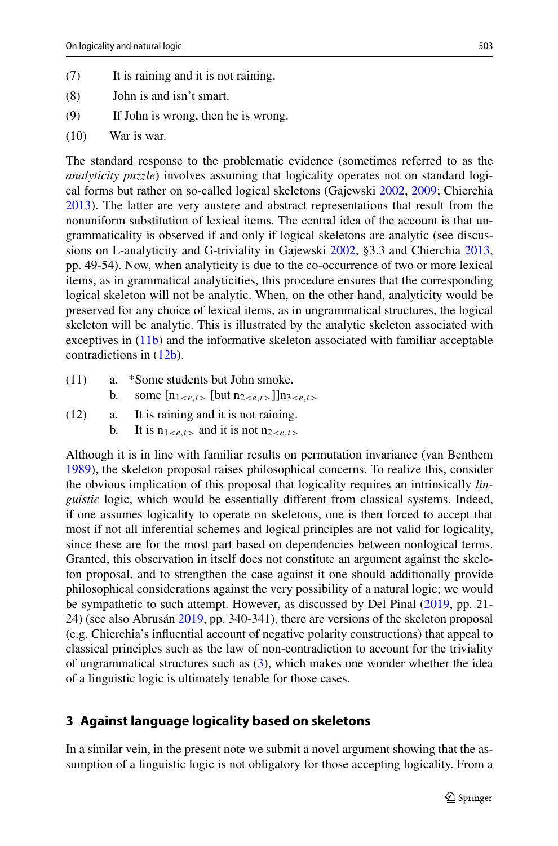- <span id="page-2-0"></span>(7) It is raining and it is not raining.
- (8) John is and isn't smart.
- (9) If John is wrong, then he is wrong.
- (10) War is war.

The standard response to the problematic evidence (sometimes referred to as the *analyticity puzzle*) involves assuming that logicality operates not on standard logical forms but rather on so-called logical skeletons (Gajewski [2002,](#page-5-0) [2009](#page-5-0); Chierchia [2013\)](#page-5-0). The latter are very austere and abstract representations that result from the nonuniform substitution of lexical items. The central idea of the account is that ungrammaticality is observed if and only if logical skeletons are analytic (see discussions on L-analyticity and G-triviality in Gajewski [2002](#page-5-0), §3.3 and Chierchia [2013](#page-5-0), pp. 49-54). Now, when analyticity is due to the co-occurrence of two or more lexical items, as in grammatical analyticities, this procedure ensures that the corresponding logical skeleton will not be analytic. When, on the other hand, analyticity would be preserved for any choice of lexical items, as in ungrammatical structures, the logical skeleton will be analytic. This is illustrated by the analytic skeleton associated with exceptives in (11b) and the informative skeleton associated with familiar acceptable contradictions in (12b).

(11) a. \*Some students but John smoke. b. some  $[n_{1\leq e,t>}$  [but  $n_{2\leq e,t>}$ ]] $n_{3\leq e,t>}$ (12) a. It is raining and it is not raining. b. It is  $n_{1\leq e,t>}$  and it is not  $n_{2\leq e,t>}$ 

Although it is in line with familiar results on permutation invariance (van Benthem [1989\)](#page-5-0), the skeleton proposal raises philosophical concerns. To realize this, consider the obvious implication of this proposal that logicality requires an intrinsically *linguistic* logic, which would be essentially different from classical systems. Indeed, if one assumes logicality to operate on skeletons, one is then forced to accept that most if not all inferential schemes and logical principles are not valid for logicality, since these are for the most part based on dependencies between nonlogical terms. Granted, this observation in itself does not constitute an argument against the skeleton proposal, and to strengthen the case against it one should additionally provide philosophical considerations against the very possibility of a natural logic; we would be sympathetic to such attempt. However, as discussed by Del Pinal [\(2019](#page-5-0), pp. 21- 24) (see also Abrusán [2019](#page-5-0), pp. 340-341), there are versions of the skeleton proposal (e.g. Chierchia's influential account of negative polarity constructions) that appeal to classical principles such as the law of non-contradiction to account for the triviality of ungrammatical structures such as ([3\)](#page-1-0), which makes one wonder whether the idea of a linguistic logic is ultimately tenable for those cases.

#### **3 Against language logicality based on skeletons**

In a similar vein, in the present note we submit a novel argument showing that the assumption of a linguistic logic is not obligatory for those accepting logicality. From a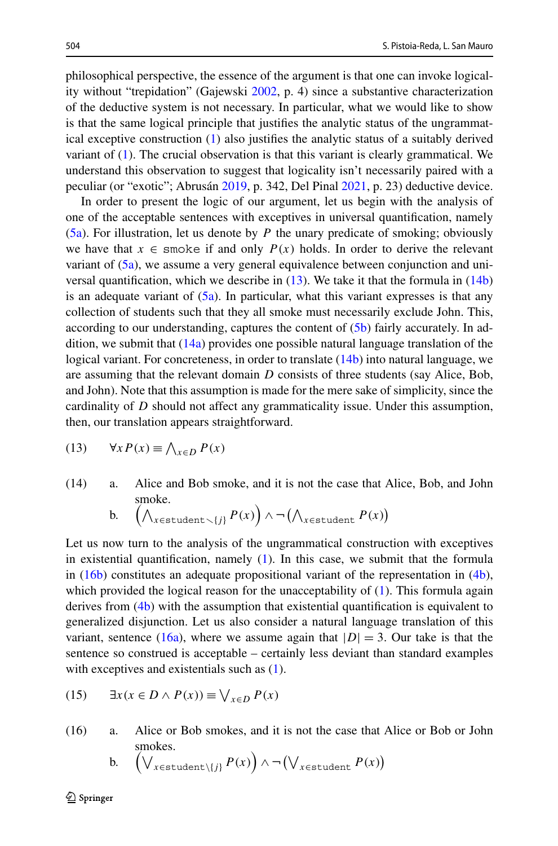<span id="page-3-0"></span>philosophical perspective, the essence of the argument is that one can invoke logicality without "trepidation" (Gajewski [2002](#page-5-0), p. 4) since a substantive characterization of the deductive system is not necessary. In particular, what we would like to show is that the same logical principle that justifies the analytic status of the ungrammatical exceptive construction [\(1\)](#page-1-0) also justifies the analytic status of a suitably derived variant of [\(1](#page-1-0)). The crucial observation is that this variant is clearly grammatical. We understand this observation to suggest that logicality isn't necessarily paired with a peculiar (or "exotic"; Abrusán [2019,](#page-5-0) p. 342, Del Pinal [2021](#page-5-0), p. 23) deductive device.

In order to present the logic of our argument, let us begin with the analysis of one of the acceptable sentences with exceptives in universal quantification, namely [\(5a\)](#page-1-0). For illustration, let us denote by *P* the unary predicate of smoking; obviously we have that  $x \in \text{smoke}$  if and only  $P(x)$  holds. In order to derive the relevant variant of  $(5a)$ , we assume a very general equivalence between conjunction and universal quantification, which we describe in  $(13)$ . We take it that the formula in  $(14b)$ is an adequate variant of  $(5a)$ . In particular, what this variant expresses is that any collection of students such that they all smoke must necessarily exclude John. This, according to our understanding, captures the content of [\(5b](#page-1-0)) fairly accurately. In addition, we submit that  $(14a)$  provides one possible natural language translation of the logical variant. For concreteness, in order to translate (14b) into natural language, we are assuming that the relevant domain *D* consists of three students (say Alice, Bob, and John). Note that this assumption is made for the mere sake of simplicity, since the cardinality of *D* should not affect any grammaticality issue. Under this assumption, then, our translation appears straightforward.

$$
(13) \qquad \forall x P(x) \equiv \bigwedge_{x \in D} P(x)
$$

(14) a. Alice and Bob smoke, and it is not the case that Alice, Bob, and John smoke.

b. 
$$
\left(\bigwedge_{x \in \text{student}\smallsetminus\{j\}} P(x)\right) \wedge \neg \left(\bigwedge_{x \in \text{student}} P(x)\right)
$$

Let us now turn to the analysis of the ungrammatical construction with exceptives in existential quantification, namely  $(1)$  $(1)$ . In this case, we submit that the formula in  $(16b)$  constitutes an adequate propositional variant of the representation in  $(4b)$  $(4b)$ , which provided the logical reason for the unacceptability of [\(1](#page-1-0)). This formula again derives from [\(4b](#page-1-0)) with the assumption that existential quantification is equivalent to generalized disjunction. Let us also consider a natural language translation of this variant, sentence (16a), where we assume again that  $|D| = 3$ . Our take is that the sentence so construed is acceptable – certainly less deviant than standard examples with exceptives and existentials such as  $(1)$  $(1)$ .

(15) 
$$
\exists x (x \in D \land P(x)) \equiv \bigvee_{x \in D} P(x)
$$

(16) a. Alice or Bob smokes, and it is not the case that Alice or Bob or John smokes.

b. 
$$
\left(\bigvee_{x \in \text{student}\setminus\{j\}} P(x)\right) \wedge \neg \left(\bigvee_{x \in \text{student}} P(x)\right)
$$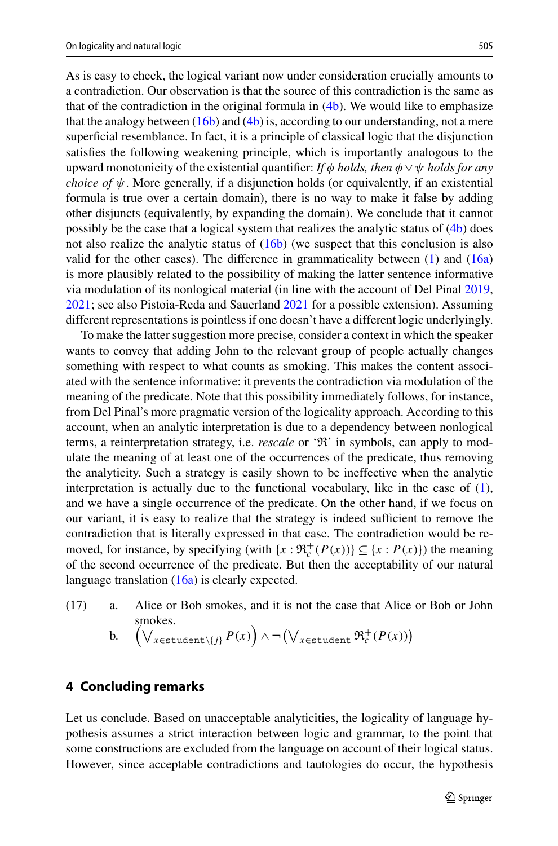As is easy to check, the logical variant now under consideration crucially amounts to a contradiction. Our observation is that the source of this contradiction is the same as that of the contradiction in the original formula in  $(4b)$  $(4b)$ . We would like to emphasize that the analogy between  $(16b)$  $(16b)$  and  $(4b)$  $(4b)$  is, according to our understanding, not a mere superficial resemblance. In fact, it is a principle of classical logic that the disjunction satisfies the following weakening principle, which is importantly analogous to the upward monotonicity of the existential quantifier: *If φ holds, then φ* ∨*ψ holds for any choice of*  $\psi$ . More generally, if a disjunction holds (or equivalently, if an existential formula is true over a certain domain), there is no way to make it false by adding other disjuncts (equivalently, by expanding the domain). We conclude that it cannot possibly be the case that a logical system that realizes the analytic status of ([4b\)](#page-1-0) does not also realize the analytic status of  $(16b)$  (we suspect that this conclusion is also valid for the other cases). The difference in grammaticality between  $(1)$  $(1)$  and  $(16a)$  $(16a)$  $(16a)$ is more plausibly related to the possibility of making the latter sentence informative via modulation of its nonlogical material (in line with the account of Del Pinal [2019](#page-5-0), [2021;](#page-5-0) see also Pistoia-Reda and Sauerland [2021](#page-5-0) for a possible extension). Assuming different representations is pointless if one doesn't have a different logic underlyingly.

To make the latter suggestion more precise, consider a context in which the speaker wants to convey that adding John to the relevant group of people actually changes something with respect to what counts as smoking. This makes the content associated with the sentence informative: it prevents the contradiction via modulation of the meaning of the predicate. Note that this possibility immediately follows, for instance, from Del Pinal's more pragmatic version of the logicality approach. According to this account, when an analytic interpretation is due to a dependency between nonlogical terms, a reinterpretation strategy, i.e. *rescale* or 'R' in symbols, can apply to modulate the meaning of at least one of the occurrences of the predicate, thus removing the analyticity. Such a strategy is easily shown to be ineffective when the analytic interpretation is actually due to the functional vocabulary, like in the case of ([1\)](#page-1-0), and we have a single occurrence of the predicate. On the other hand, if we focus on our variant, it is easy to realize that the strategy is indeed sufficient to remove the contradiction that is literally expressed in that case. The contradiction would be removed, for instance, by specifying (with  $\{x : \Re_c^+(P(x))\} \subseteq \{x : P(x)\}\)$  the meaning of the second occurrence of the predicate. But then the acceptability of our natural language translation [\(16a\)](#page-3-0) is clearly expected.

(17) a. Alice or Bob smokes, and it is not the case that Alice or Bob or John smokes.

b. 
$$
\left(\bigvee_{x \in \text{student}\setminus\{j\}} P(x)\right) \wedge \neg \left(\bigvee_{x \in \text{student}} \mathfrak{R}_c^+(P(x))\right)
$$

#### **4 Concluding remarks**

Let us conclude. Based on unacceptable analyticities, the logicality of language hypothesis assumes a strict interaction between logic and grammar, to the point that some constructions are excluded from the language on account of their logical status. However, since acceptable contradictions and tautologies do occur, the hypothesis